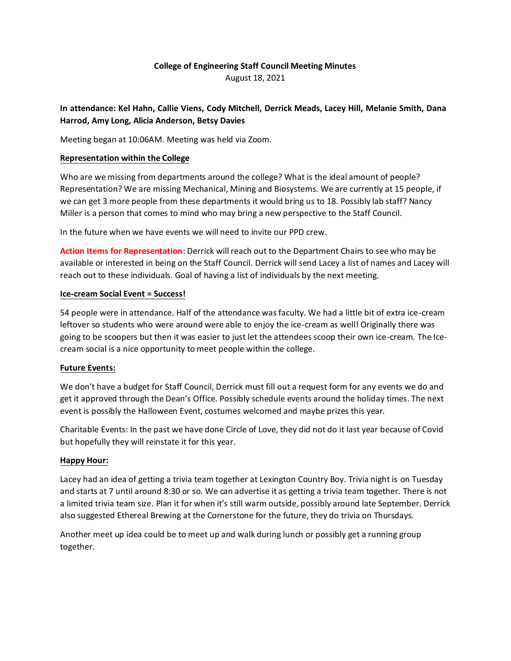# **College of Engineering Staff Council Meeting Minutes**

August 18, 2021

# **In attendance: Kel Hahn, Callie Viens, Cody Mitchell, Derrick Meads, Lacey Hill, Melanie Smith, Dana Harrod, Amy Long, Alicia Anderson, Betsy Davies**

Meeting began at 10:06AM. Meeting was held via Zoom.

## **Representation within the College**

Who are we missing from departments around the college? What is the ideal amount of people? Representation? We are missing Mechanical, Mining and Biosystems. We are currently at 15 people, if we can get 3 more people from these departments it would bring us to 18. Possibly lab staff? Nancy Miller is a person that comes to mind who may bring a new perspective to the Staff Council.

In the future when we have events we will need to invite our PPD crew.

**Action Items for Representation**: Derrick will reach out to the Department Chairs to see who may be available or interested in being on the Staff Council. Derrick will send Lacey a list of names and Lacey will reach out to these individuals. Goal of having a list of individuals by the next meeting.

### **Ice-cream Social Event = Success!**

54 people were in attendance. Half of the attendance was faculty. We had a little bit of extra ice-cream leftover so students who were around were able to enjoy the ice-cream as well! Originally there was going to be scoopers but then it was easier to just let the attendees scoop their own ice-cream. The Icecream social is a nice opportunity to meet people within the college.

#### **Future Events:**

We don't have a budget for Staff Council, Derrick must fill out a request form for any events we do and get it approved through the Dean's Office. Possibly schedule events around the holiday times. The next event is possibly the Halloween Event, costumes welcomed and maybe prizes this year.

Charitable Events: In the past we have done Circle of Love, they did not do it last year because of Covid but hopefully they will reinstate it for this year.

## **Happy Hour:**

Lacey had an idea of getting a trivia team together at Lexington Country Boy. Trivia night is on Tuesday and starts at 7 until around 8:30 or so. We can advertise it as getting a trivia team together. There is not a limited trivia team size. Plan it for when it's still warm outside, possibly around late September. Derrick also suggested Ethereal Brewing at the Cornerstone for the future, they do trivia on Thursdays.

Another meet up idea could be to meet up and walk during lunch or possibly get a running group together.